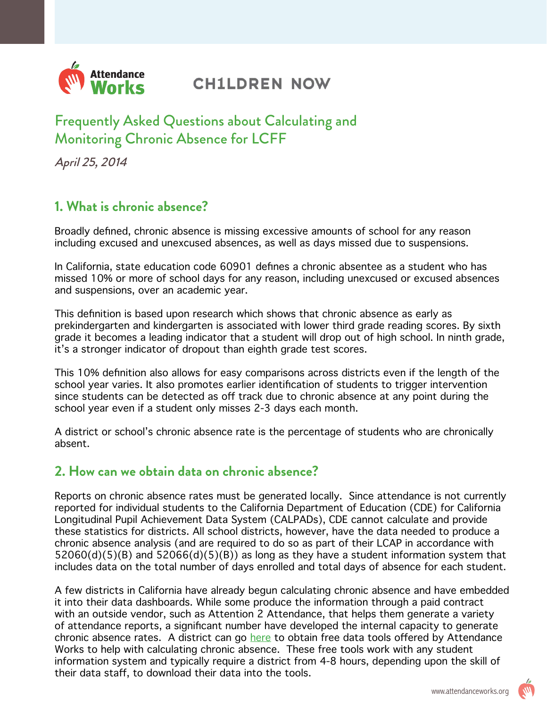

# **CH1LDREN NOW**

# Frequently Asked Questions about Calculating and Monitoring Chronic Absence for LCFF

April 25, 2014

### **1. What is chronic absence?**

Broadly defined, chronic absence is missing excessive amounts of school for any reason including excused and unexcused absences, as well as days missed due to suspensions.

In California, state education code 60901 defines a chronic absentee as a student who has missed 10% or more of school days for any reason, including unexcused or excused absences and suspensions, over an academic year.

This definition is based upon research which shows that chronic absence as early as prekindergarten and kindergarten is associated with lower third grade reading scores. By sixth grade it becomes a leading indicator that a student will drop out of high school. In ninth grade, it's a stronger indicator of dropout than eighth grade test scores.

This 10% definition also allows for easy comparisons across districts even if the length of the school year varies. It also promotes earlier identification of students to trigger intervention since students can be detected as off track due to chronic absence at any point during the school year even if a student only misses 2-3 days each month.

A district or school's chronic absence rate is the percentage of students who are chronically absent.

#### **2. How can we obtain data on chronic absence?**

Reports on chronic absence rates must be generated locally. Since attendance is not currently reported for individual students to the California Department of Education (CDE) for California Longitudinal Pupil Achievement Data System (CALPADs), CDE cannot calculate and provide these statistics for districts. All school districts, however, have the data needed to produce a chronic absence analysis (and are required to do so as part of their LCAP in accordance with  $52060(d)(5)(B)$  and  $52066(d)(5)(B)$  as long as they have a student information system that includes data on the total number of days enrolled and total days of absence for each student.

A few districts in California have already begun calculating chronic absence and have embedded it into their data dashboards. While some produce the information through a paid contract with an outside vendor, such as Attention 2 Attendance, that helps them generate a variety of attendance reports, a significant number have developed the internal capacity to generate chronic absence rates. A district can go [here](http://www.attendanceworks.org/tools/tools-for-calculating-chronic-absence/) to obtain free data tools offered by Attendance Works to help with calculating chronic absence. These free tools work with any student information system and typically require a district from 4-8 hours, depending upon the skill of their data staff, to download their data into the tools.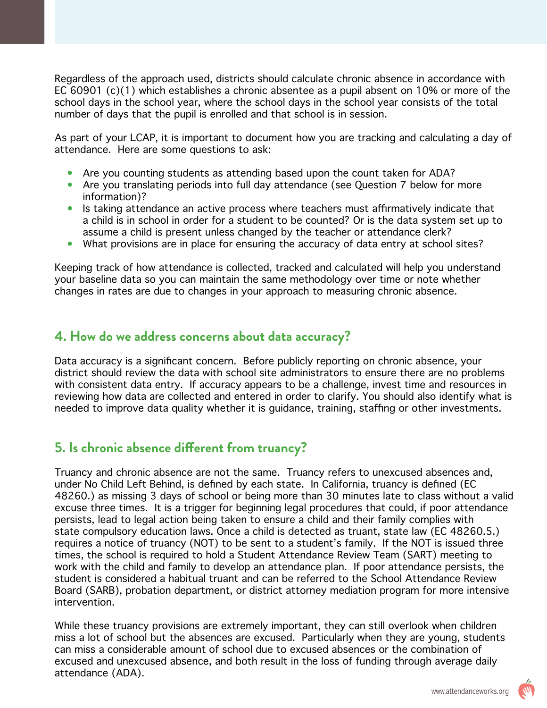Regardless of the approach used, districts should calculate chronic absence in accordance with EC 60901 (c)(1) which establishes a chronic absentee as a pupil absent on 10% or more of the school days in the school year, where the school days in the school year consists of the total number of days that the pupil is enrolled and that school is in session.

As part of your LCAP, it is important to document how you are tracking and calculating a day of attendance. Here are some questions to ask:

- Are you counting students as attending based upon the count taken for ADA?
- Are you translating periods into full day attendance (see Question 7 below for more information)?
- Is taking attendance an active process where teachers must affirmatively indicate that a child is in school in order for a student to be counted? Or is the data system set up to assume a child is present unless changed by the teacher or attendance clerk?
- What provisions are in place for ensuring the accuracy of data entry at school sites?

Keeping track of how attendance is collected, tracked and calculated will help you understand your baseline data so you can maintain the same methodology over time or note whether changes in rates are due to changes in your approach to measuring chronic absence.

#### **4. How do we address concerns about data accuracy?**

Data accuracy is a significant concern. Before publicly reporting on chronic absence, your district should review the data with school site administrators to ensure there are no problems with consistent data entry. If accuracy appears to be a challenge, invest time and resources in reviewing how data are collected and entered in order to clarify. You should also identify what is needed to improve data quality whether it is guidance, training, staffing or other investments.

#### **5. Is chronic absence different from truancy?**

Truancy and chronic absence are not the same. Truancy refers to unexcused absences and, under No Child Left Behind, is defined by each state. In California, truancy is defined (EC 48260.) as missing 3 days of school or being more than 30 minutes late to class without a valid excuse three times. It is a trigger for beginning legal procedures that could, if poor attendance persists, lead to legal action being taken to ensure a child and their family complies with state compulsory education laws. Once a child is detected as truant, state law (EC 48260.5.) requires a notice of truancy (NOT) to be sent to a student's family. If the NOT is issued three times, the school is required to hold a Student Attendance Review Team (SART) meeting to work with the child and family to develop an attendance plan. If poor attendance persists, the student is considered a habitual truant and can be referred to the School Attendance Review Board (SARB), probation department, or district attorney mediation program for more intensive intervention.

While these truancy provisions are extremely important, they can still overlook when children miss a lot of school but the absences are excused. Particularly when they are young, students can miss a considerable amount of school due to excused absences or the combination of excused and unexcused absence, and both result in the loss of funding through average daily attendance (ADA).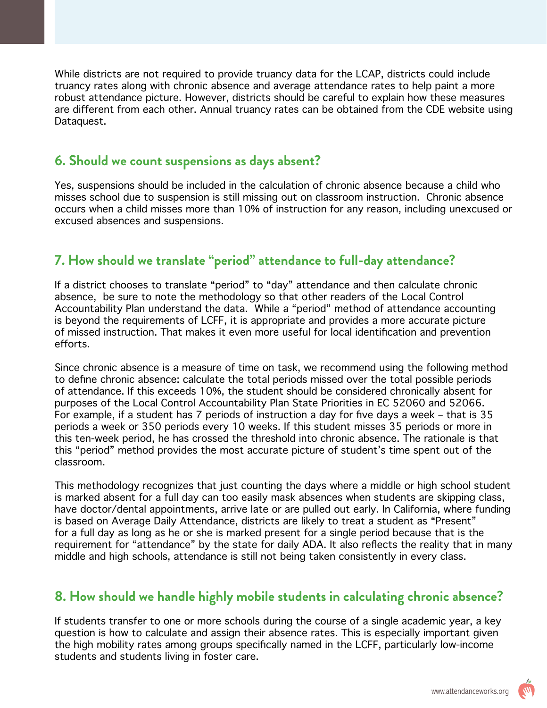While districts are not required to provide truancy data for the LCAP, districts could include truancy rates along with chronic absence and average attendance rates to help paint a more robust attendance picture. However, districts should be careful to explain how these measures are different from each other. Annual truancy rates can be obtained from the CDE website using Dataquest.

#### **6. Should we count suspensions as days absent?**

Yes, suspensions should be included in the calculation of chronic absence because a child who misses school due to suspension is still missing out on classroom instruction. Chronic absence occurs when a child misses more than 10% of instruction for any reason, including unexcused or excused absences and suspensions.

## **7. How should we translate "period" attendance to full-day attendance?**

If a district chooses to translate "period" to "day" attendance and then calculate chronic absence, be sure to note the methodology so that other readers of the Local Control Accountability Plan understand the data. While a "period" method of attendance accounting is beyond the requirements of LCFF, it is appropriate and provides a more accurate picture of missed instruction. That makes it even more useful for local identification and prevention efforts.

Since chronic absence is a measure of time on task, we recommend using the following method to define chronic absence: calculate the total periods missed over the total possible periods of attendance. If this exceeds 10%, the student should be considered chronically absent for purposes of the Local Control Accountability Plan State Priorities in EC 52060 and 52066. For example, if a student has 7 periods of instruction a day for five days a week – that is 35 periods a week or 350 periods every 10 weeks. If this student misses 35 periods or more in this ten-week period, he has crossed the threshold into chronic absence. The rationale is that this "period" method provides the most accurate picture of student's time spent out of the classroom.

This methodology recognizes that just counting the days where a middle or high school student is marked absent for a full day can too easily mask absences when students are skipping class, have doctor/dental appointments, arrive late or are pulled out early. In California, where funding is based on Average Daily Attendance, districts are likely to treat a student as "Present" for a full day as long as he or she is marked present for a single period because that is the requirement for "attendance" by the state for daily ADA. It also reflects the reality that in many middle and high schools, attendance is still not being taken consistently in every class.

#### **8. How should we handle highly mobile students in calculating chronic absence?**

If students transfer to one or more schools during the course of a single academic year, a key question is how to calculate and assign their absence rates. This is especially important given the high mobility rates among groups specifically named in the LCFF, particularly low-income students and students living in foster care.